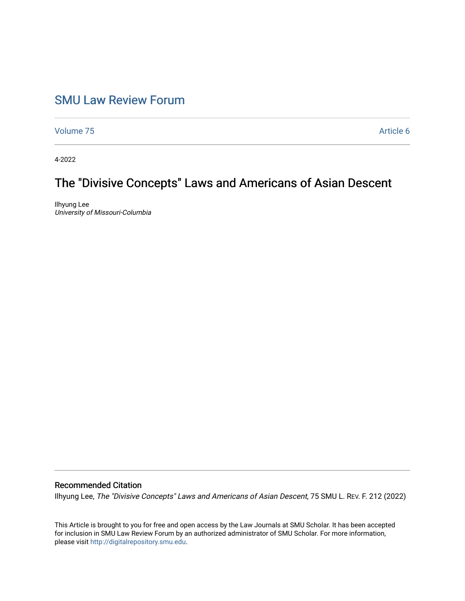### [SMU Law Review Forum](https://scholar.smu.edu/smulrforum)

[Volume 75](https://scholar.smu.edu/smulrforum/vol75) [Article 6](https://scholar.smu.edu/smulrforum/vol75/iss1/6) 

4-2022

### The "Divisive Concepts" Laws and Americans of Asian Descent

Ilhyung Lee University of Missouri-Columbia

### Recommended Citation

Ilhyung Lee, The "Divisive Concepts" Laws and Americans of Asian Descent, 75 SMU L. REV. F. 212 (2022)

This Article is brought to you for free and open access by the Law Journals at SMU Scholar. It has been accepted for inclusion in SMU Law Review Forum by an authorized administrator of SMU Scholar. For more information, please visit [http://digitalrepository.smu.edu.](http://digitalrepository.smu.edu/)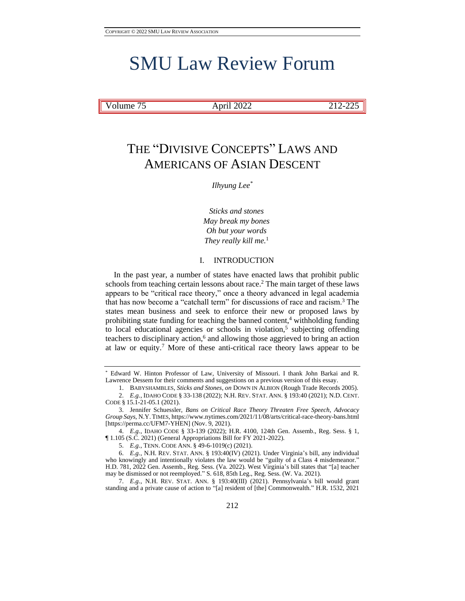# SMU Law Review Forum

Volume 75 **April 2022** 212-225

## THE "DIVISIVE CONCEPTS" LAWS AND AMERICANS OF ASIAN DESCENT

*Ilhyung Lee\**

*Sticks and stones May break my bones Oh but your words They really kill me.*<sup>1</sup>

#### <span id="page-1-0"></span>I. INTRODUCTION

In the past year, a number of states have enacted laws that prohibit public schools from teaching certain lessons about race.<sup>2</sup> The main target of these laws appears to be "critical race theory," once a theory advanced in legal academia that has now become a "catchall term" for discussions of race and racism.<sup>3</sup> The states mean business and seek to enforce their new or proposed laws by prohibiting state funding for teaching the banned content,<sup>4</sup> withholding funding to local educational agencies or schools in violation,<sup>5</sup> subjecting offending teachers to disciplinary action, $6$  and allowing those aggrieved to bring an action at law or equity.<sup>7</sup> More of these anti-critical race theory laws appear to be

5. *E.g.*, TENN. CODE ANN. § 49-6-1019(c) (2021).

<sup>\*</sup> Edward W. Hinton Professor of Law, University of Missouri. I thank John Barkai and R. Lawrence Dessem for their comments and suggestions on a previous version of this essay.

<sup>1.</sup> BABYSHAMBLES, *Sticks and Stones*, *on* DOWN IN ALBION (Rough Trade Records 2005).

<sup>2.</sup> *E.g.*, IDAHO CODE § 33-138 (2022); N.H. REV. STAT. ANN. § 193:40 (2021); N.D. CENT. CODE § 15.1-21-05.1 (2021).

<sup>3.</sup> Jennifer Schuessler, *Bans on Critical Race Theory Threaten Free Speech, Advocacy Group Says*, N.Y. TIMES, https://www.nytimes.com/2021/11/08/arts/critical-race-theory-bans.html [https://perma.cc/UFM7-YHEN] (Nov. 9, 2021).

<sup>4.</sup> *E.g.*, IDAHO CODE § 33-139 (2022); H.R. 4100, 124th Gen. Assemb., Reg. Sess. § 1, ¶ 1.105 (S.C. 2021) (General Appropriations Bill for FY 2021-2022).

<sup>6.</sup> *E.g.*, N.H. REV. STAT. ANN. § 193:40(IV) (2021). Under Virginia's bill, any individual who knowingly and intentionally violates the law would be "guilty of a Class 4 misdemeanor." H.D. 781, 2022 Gen. Assemb., Reg. Sess. (Va. 2022). West Virginia's bill states that "[a] teacher may be dismissed or not reemployed." S. 618, 85th Leg., Reg. Sess. (W. Va. 2021).

<sup>7.</sup> *E.g.*, N.H. REV. STAT. ANN. § 193:40(III) (2021). Pennsylvania's bill would grant standing and a private cause of action to "[a] resident of [the] Commonwealth." H.R. 1532, 2021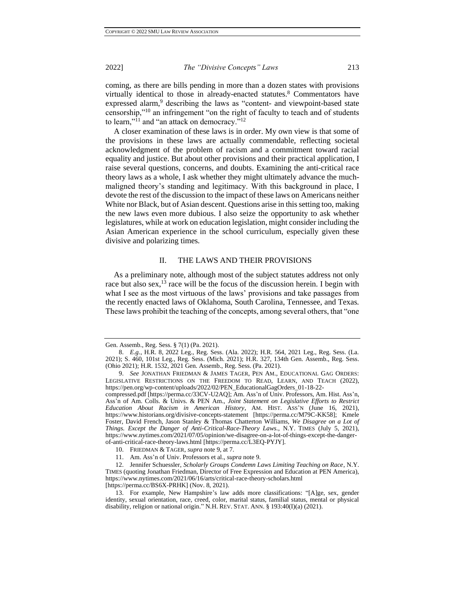<span id="page-2-0"></span>coming, as there are bills pending in more than a dozen states with provisions virtually identical to those in already-enacted statutes.<sup>8</sup> Commentators have expressed alarm,<sup>9</sup> describing the laws as "content- and viewpoint-based state censorship,"<sup>10</sup> an infringement "on the right of faculty to teach and of students to learn,"<sup>11</sup> and "an attack on democracy."<sup>12</sup>

A closer examination of these laws is in order. My own view is that some of the provisions in these laws are actually commendable, reflecting societal acknowledgment of the problem of racism and a commitment toward racial equality and justice. But about other provisions and their practical application, I raise several questions, concerns, and doubts. Examining the anti-critical race theory laws as a whole, I ask whether they might ultimately advance the muchmaligned theory's standing and legitimacy. With this background in place, I devote the rest of the discussion to the impact of these laws on Americans neither White nor Black, but of Asian descent. Questions arise in this setting too, making the new laws even more dubious. I also seize the opportunity to ask whether legislatures, while at work on education legislation, might consider including the Asian American experience in the school curriculum, especially given these divisive and polarizing times.

#### II. THE LAWS AND THEIR PROVISIONS

As a preliminary note, although most of the subject statutes address not only race but also sex,<sup>13</sup> race will be the focus of the discussion herein. I begin with what I see as the most virtuous of the laws' provisions and take passages from the recently enacted laws of Oklahoma, South Carolina, Tennessee, and Texas. These laws prohibit the teaching of the concepts, among several others, that "one

Gen. Assemb., Reg. Sess. § 7(1) (Pa. 2021).

<sup>8.</sup> *E.g.*, H.R. 8, 2022 Leg., Reg. Sess. (Ala. 2022); H.R. 564, 2021 Leg., Reg. Sess. (La. 2021); S. 460, 101st Leg., Reg. Sess. (Mich. 2021); H.R. 327, 134th Gen. Assemb., Reg. Sess. (Ohio 2021); H.R. 1532, 2021 Gen. Assemb., Reg. Sess. (Pa. 2021).

<sup>9.</sup> *See* JONATHAN FRIEDMAN & JAMES TAGER, PEN AM., EDUCATIONAL GAG ORDERS: LEGISLATIVE RESTRICTIONS ON THE FREEDOM TO READ, LEARN, AND TEACH (2022), https://pen.org/wp-content/uploads/2022/02/PEN\_EducationalGagOrders\_01-18-22-

compressed.pdf [https://perma.cc/33CV-U2AQ]; Am. Ass'n of Univ. Professors, Am. Hist. Ass'n, Ass'n of Am. Colls. & Univs. & PEN Am., *Joint Statement on Legislative Efforts to Restrict Education About Racism in American History*, AM. HIST. ASS'N (June 16, 2021), https://www.historians.org/divisive-concepts-statement [https://perma.cc/M79C-KK58]; Kmele Foster, David French, Jason Stanley & Thomas Chatterton Williams, *We Disagree on a Lot of Things. Except the Danger of Anti-Critical-Race-Theory Laws.*, N.Y. TIMES (July 5, 2021), https://www.nytimes.com/2021/07/05/opinion/we-disagree-on-a-lot-of-things-except-the-dangerof-anti-critical-race-theory-laws.html [https://perma.cc/L3EQ-PYJY].

<sup>10.</sup> FRIEDMAN & TAGER, *supra* not[e 9,](#page-2-0) at 7.

<sup>11.</sup> Am. Ass'n of Univ. Professors et al., *supra* not[e 9.](#page-2-0)

<sup>12.</sup> Jennifer Schuessler, *Scholarly Groups Condemn Laws Limiting Teaching on Race*, N.Y. TIMES (quoting Jonathan Friedman, Director of Free Expression and Education at PEN America), https://www.nytimes.com/2021/06/16/arts/critical-race-theory-scholars.html [https://perma.cc/BS6X-PRHK] (Nov. 8, 2021).

<sup>13.</sup> For example, New Hampshire's law adds more classifications: "[A]ge, sex, gender identity, sexual orientation, race, creed, color, marital status, familial status, mental or physical disability, religion or national origin." N.H. REV. STAT. ANN. § 193:40(I)(a) (2021).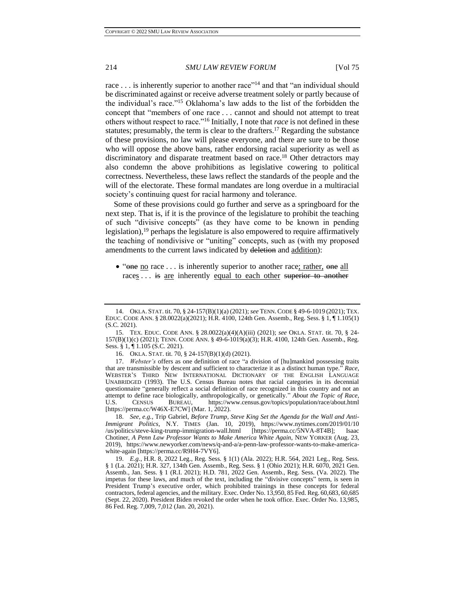<span id="page-3-0"></span>race  $\dots$  is inherently superior to another race"<sup>14</sup> and that "an individual should be discriminated against or receive adverse treatment solely or partly because of the individual's race."<sup>15</sup> Oklahoma's law adds to the list of the forbidden the concept that "members of one race . . . cannot and should not attempt to treat others without respect to race."<sup>16</sup> Initially, I note that *race* is not defined in these statutes; presumably, the term is clear to the drafters.<sup>17</sup> Regarding the substance of these provisions, no law will please everyone, and there are sure to be those who will oppose the above bans, rather endorsing racial superiority as well as discriminatory and disparate treatment based on race.<sup>18</sup> Other detractors may also condemn the above prohibitions as legislative cowering to political correctness. Nevertheless, these laws reflect the standards of the people and the will of the electorate. These formal mandates are long overdue in a multiracial society's continuing quest for racial harmony and tolerance.

Some of these provisions could go further and serve as a springboard for the next step. That is, if it is the province of the legislature to prohibit the teaching of such "divisive concepts" (as they have come to be known in pending legislation),<sup>19</sup> perhaps the legislature is also empowered to require affirmatively the teaching of nondivisive or "uniting" concepts, such as (with my proposed amendments to the current laws indicated by deletion and addition):

• "one no race . . . is inherently superior to another race; rather, one all races . . . is are inherently equal to each other superior to another

<sup>14.</sup> OKLA. STAT. tit. 70, § 24-157(B)(1)(a) (2021); *see* TENN. CODE § 49-6-1019 (2021); TEX. EDUC. CODE ANN. § 28.0022(a)(2021); H.R. 4100, 124th Gen. Assemb., Reg. Sess. § 1, ¶ 1.105(1) (S.C. 2021).

<sup>15.</sup> TEX. EDUC. CODE ANN. § 28.0022(a)(4)(A)(iii) (2021); *see* OKLA. STAT. tit. 70, § 24- 157(B)(1)(c) (2021); TENN. CODE ANN. § 49-6-1019(a)(3); H.R. 4100, 124th Gen. Assemb., Reg. Sess. § 1, ¶ 1.105 (S.C. 2021).

<sup>16.</sup> OKLA. STAT. tit. 70, § 24-157(B)(1)(d) (2021).

<sup>17.</sup> *Webster's* offers as one definition of race "a division of [hu]mankind possessing traits that are transmissible by descent and sufficient to characterize it as a distinct human type." *Race*, WEBSTER'S THIRD NEW INTERNATIONAL DICTIONARY OF THE ENGLISH LANGUAGE UNABRIDGED (1993). The U.S. Census Bureau notes that racial categories in its decennial questionnaire "generally reflect a social definition of race recognized in this country and not an attempt to define race biologically, anthropologically, or genetically." *About the Topic of Race*, U.S. CENSUS BUREAU, https://www.census.gov/topics/population/race/about.html [https://perma.cc/W46X-E7CW] (Mar. 1, 2022).

<sup>18.</sup> *See*, *e.g.*, Trip Gabriel, *Before Trump, Steve King Set the Agenda for the Wall and Anti-Immigrant Politics*, N.Y. TIMES (Jan. 10, 2019), https://www.nytimes.com/2019/01/10 /us/politics/steve-king-trump-immigration-wall.html [https://perma.cc/5NVA-8T4B]; Isaac Chotiner, *A Penn Law Professor Wants to Make America White Again*, NEW YORKER (Aug. 23, 2019), https://www.newyorker.com/news/q-and-a/a-penn-law-professor-wants-to-make-americawhite-again [https://perma.cc/R9H4-7VY6].

<sup>19.</sup> *E.g.*, H.R. 8, 2022 Leg., Reg. Sess. § 1(1) (Ala. 2022); H.R. 564, 2021 Leg., Reg. Sess. § 1 (La. 2021); H.R. 327, 134th Gen. Assemb., Reg. Sess. § 1 (Ohio 2021); H.R. 6070, 2021 Gen. Assemb., Jan. Sess. § 1 (R.I. 2021); H.D. 781, 2022 Gen. Assemb., Reg. Sess. (Va. 2022). The impetus for these laws, and much of the text, including the "divisive concepts" term, is seen in President Trump's executive order, which prohibited trainings in these concepts for federal contractors, federal agencies, and the military. Exec. Order No. 13,950, 85 Fed. Reg. 60,683, 60,685 (Sept. 22, 2020). President Biden revoked the order when he took office. Exec. Order No. 13,985, 86 Fed. Reg. 7,009, 7,012 (Jan. 20, 2021).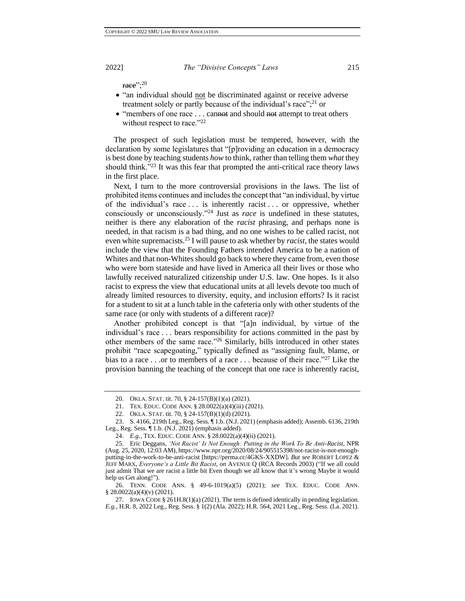- race":20
- "an individual should not be discriminated against or receive adverse treatment solely or partly because of the individual's race";<sup>21</sup> or
- "members of one race . . . cannot and should not attempt to treat others without respect to race."<sup>22</sup>

The prospect of such legislation must be tempered, however, with the declaration by some legislatures that "[p]roviding an education in a democracy is best done by teaching students *how* to think, rather than telling them *what* they should think."<sup>23</sup> It was this fear that prompted the anti-critical race theory laws in the first place.

Next, I turn to the more controversial provisions in the laws. The list of prohibited items continues and includes the concept that "an individual, by virtue of the individual's race . . . is inherently racist . . . or oppressive, whether consciously or unconsciously."<sup>24</sup> Just as *race* is undefined in these statutes, neither is there any elaboration of the *racist* phrasing, and perhaps none is needed, in that racism is a bad thing, and no one wishes to be called racist, not even white supremacists.<sup>25</sup> I will pause to ask whether by *racist*, the states would include the view that the Founding Fathers intended America to be a nation of Whites and that non-Whites should go back to where they came from, even those who were born stateside and have lived in America all their lives or those who lawfully received naturalized citizenship under U.S. law. One hopes. Is it also racist to express the view that educational units at all levels devote too much of already limited resources to diversity, equity, and inclusion efforts? Is it racist for a student to sit at a lunch table in the cafeteria only with other students of the same race (or only with students of a different race)?

Another prohibited concept is that "[a]n individual, by virtue of the individual's race . . . bears responsibility for actions committed in the past by other members of the same race."<sup>26</sup> Similarly, bills introduced in other states prohibit "race scapegoating," typically defined as "assigning fault, blame, or bias to a race . . .or to members of a race . . . because of their race."<sup>27</sup> Like the provision banning the teaching of the concept that one race is inherently racist,

23. S. 4166, 219th Leg., Reg. Sess. ¶ 1.b. (N.J. 2021) (emphasis added); Assemb. 6136, 219th Leg., Reg. Sess. ¶ 1.b. (N.J. 2021) (emphasis added).

26. TENN. CODE ANN. § 49-6-1019(a)(5) (2021); *see* TEX. EDUC. CODE ANN. § 28.0022(a)(4)(v) (2021).

27. IOWA CODE § 261H.8(1)(a) (2021). The term is defined identically in pending legislation. *E.g.*, H.R. 8, 2022 Leg., Reg. Sess. § 1(2) (Ala. 2022); H.R. 564, 2021 Leg., Reg. Sess. (La. 2021).

<sup>20.</sup> OKLA. STAT. tit. 70, § 24-157(B)(1)(a) (2021).

<sup>21.</sup> TEX. EDUC. CODE ANN. § 28.0022(a)(4)(iii) (2021).

<sup>22.</sup> OKLA. STAT. tit. 70, § 24-157(B)(1)(d) (2021).

<sup>24.</sup> *E.g.*, TEX. EDUC. CODE ANN. § 28.0022(a)(4)(ii) (2021).

<sup>25.</sup> Eric Deggans, *'Not Racist' Is Not Enough: Putting in the Work To Be Anti-Racist*, NPR (Aug. 25, 2020, 12:03 AM), https://www.npr.org/2020/08/24/905515398/not-racist-is-not-enoughputting-in-the-work-to-be-anti-racist [https://perma.cc/4GKS-XXDW]. *But see* ROBERT LOPEZ & JEFF MARX, *Everyone's a Little Bit Racist*, *on* AVENUE Q (RCA Records 2003) ("If we all could just admit That we are racist a little bit Even though we all know that it's wrong Maybe it would help us Get along!").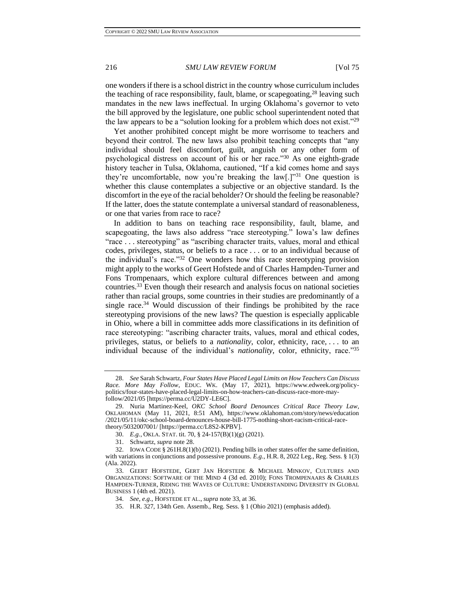<span id="page-5-0"></span>

one wonders if there is a school district in the country whose curriculum includes the teaching of race responsibility, fault, blame, or scapegoating,  $^{28}$  leaving such mandates in the new laws ineffectual. In urging Oklahoma's governor to veto the bill approved by the legislature, one public school superintendent noted that the law appears to be a "solution looking for a problem which does not exist."<sup>29</sup>

Yet another prohibited concept might be more worrisome to teachers and beyond their control. The new laws also prohibit teaching concepts that "any individual should feel discomfort, guilt, anguish or any other form of psychological distress on account of his or her race."<sup>30</sup> As one eighth-grade history teacher in Tulsa, Oklahoma, cautioned, "If a kid comes home and says they're uncomfortable, now you're breaking the law[.]"<sup>31</sup> One question is whether this clause contemplates a subjective or an objective standard. Is the discomfort in the eye of the racial beholder? Or should the feeling be reasonable? If the latter, does the statute contemplate a universal standard of reasonableness, or one that varies from race to race?

<span id="page-5-1"></span>In addition to bans on teaching race responsibility, fault, blame, and scapegoating, the laws also address "race stereotyping." Iowa's law defines "race . . . stereotyping" as "ascribing character traits, values, moral and ethical codes, privileges, status, or beliefs to a race . . . or to an individual because of the individual's race."<sup>32</sup> One wonders how this race stereotyping provision might apply to the works of Geert Hofstede and of Charles Hampden-Turner and Fons Trompenaars, which explore cultural differences between and among countries.<sup>33</sup> Even though their research and analysis focus on national societies rather than racial groups, some countries in their studies are predominantly of a single race. $34$  Would discussion of their findings be prohibited by the race stereotyping provisions of the new laws? The question is especially applicable in Ohio, where a bill in committee adds more classifications in its definition of race stereotyping: "ascribing character traits, values, moral and ethical codes, privileges, status, or beliefs to a *nationality*, color, ethnicity, race, . . . to an individual because of the individual's *nationality*, color, ethnicity, race."<sup>35</sup>

<sup>28.</sup> *See* Sarah Schwartz, *Four States Have Placed Legal Limits on How Teachers Can Discuss Race. More May Follow*, EDUC. WK. (May 17, 2021), https://www.edweek.org/policypolitics/four-states-have-placed-legal-limits-on-how-teachers-can-discuss-race-more-mayfollow/2021/05 [https://perma.cc/U2DY-LE6C].

<sup>29.</sup> Nuria Martinez-Keel, *OKC School Board Denounces Critical Race Theory Law*, OKLAHOMAN (May 11, 2021, 8:51 AM), https://www.oklahoman.com/story/news/education /2021/05/11/okc-school-board-denounces-house-bill-1775-nothing-short-racism-critical-racetheory/5032007001/ [https://perma.cc/L8S2-KPBV].

<sup>30.</sup> *E.g.*, OKLA. STAT. tit. 70, § 24-157(B)(1)(g) (2021).

<sup>31.</sup> Schwartz, *supra* not[e 28.](#page-5-0)

<sup>32.</sup> IOWA CODE § 261H.8(1)(b) (2021). Pending bills in other states offer the same definition, with variations in conjunctions and possessive pronouns. *E.g.*, H.R. 8, 2022 Leg., Reg. Sess. § 1(3) (Ala. 2022).

<sup>33.</sup> GEERT HOFSTEDE, GERT JAN HOFSTEDE & MICHAEL MINKOV, CULTURES AND ORGANIZATIONS: SOFTWARE OF THE MIND 4 (3d ed. 2010); FONS TROMPENAARS & CHARLES HAMPDEN-TURNER, RIDING THE WAVES OF CULTURE: UNDERSTANDING DIVERSITY IN GLOBAL BUSINESS 1 (4th ed. 2021).

<sup>34.</sup> *See*, *e.g.*, HOFSTEDE ET AL., *supra* not[e 33,](#page-5-1) at 36.

<sup>35.</sup> H.R. 327, 134th Gen. Assemb., Reg. Sess. § 1 (Ohio 2021) (emphasis added).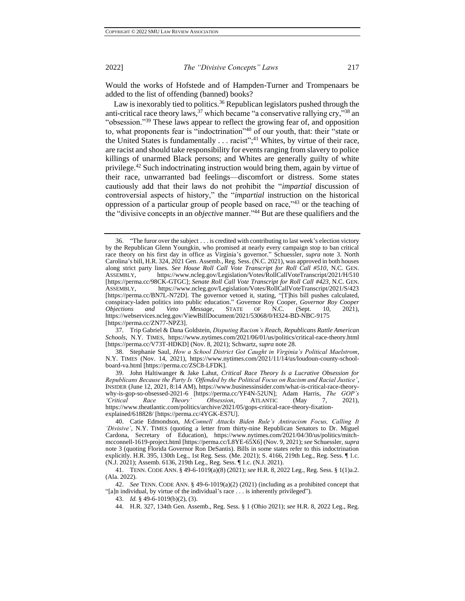Would the works of Hofstede and of Hampden-Turner and Trompenaars be added to the list of offending (banned) books?

Law is inexorably tied to politics.<sup>36</sup> Republican legislators pushed through the anti-critical race theory laws,  $37$  which became "a conservative rallying cry,  $38$  an "obsession."<sup>39</sup> These laws appear to reflect the growing fear of, and opposition to, what proponents fear is "indoctrination"<sup>40</sup> of our youth, that: their "state or the United States is fundamentally . . . racist";<sup>41</sup> Whites, by virtue of their race, are racist and should take responsibility for events ranging from slavery to police killings of unarmed Black persons; and Whites are generally guilty of white privilege.<sup>42</sup> Such indoctrinating instruction would bring them, again by virtue of their race, unwarranted bad feelings—discomfort or distress. Some states cautiously add that their laws do not prohibit the "*impartial* discussion of controversial aspects of history," the "*impartial* instruction on the historical oppression of a particular group of people based on race,"<sup>43</sup> or the teaching of the "divisive concepts in an *objective* manner."<sup>44</sup> But are these qualifiers and the

<span id="page-6-0"></span>

<sup>36.</sup> "The furor over the subject . . . is credited with contributing to last week's election victory by the Republican Glenn Youngkin, who promised at nearly every campaign stop to ban critical race theory on his first day in office as Virginia's governor." Schuessler, *supra* note [3.](#page-1-0) North Carolina's bill, H.R. 324, 2021 Gen. Assemb., Reg. Sess. (N.C. 2021), was approved in both houses along strict party lines. *See House Roll Call Vote Transcript for Roll Call #510*, N.C. GEN. ASSEMBLY, <https://www.ncleg.gov/Legislation/Votes/RollCallVoteTranscript/2021/H/510> [https://perma.cc/98CK-GTGC]; *Senate Roll Call Vote Transcript for Roll Call #423*, N.C. GEN. ASSEMBLY, https://www.ncleg.gov/Legislation/Votes/RollCallVoteTranscript/2021/S/423 [https://perma.cc/BN7L-N72D]. The governor vetoed it, stating, "[T]his bill pushes calculated, conspiracy-laden politics into public education." Governor Roy Cooper, *Governor Roy Cooper Objections and Veto Message*, STATE OF N.C. (Sept. 10, 2021), https://webservices.ncleg.gov/ViewBillDocument/2021/53068/0/H324-BD-NBC-9175 [https://perma.cc/ZN77-NPZ3].

<sup>37.</sup> Trip Gabriel & Dana Goldstein, *Disputing Racism's Reach, Republicans Rattle American Schools*, N.Y. TIMES, https://www.nytimes.com/2021/06/01/us/politics/critical-race-theory.html [https://perma.cc/V73T-HDKD] (Nov. 8, 2021); Schwartz, *supra* not[e 28.](#page-5-0)

<sup>38.</sup> Stephanie Saul, *How a School District Got Caught in Virginia's Political Maelstrom*, N.Y. TIMES (Nov. 14, 2021), https://www.nytimes.com/2021/11/14/us/loudoun-county-schoolboard-va.html [https://perma.cc/ZSC8-LFDK].

<sup>39.</sup> John Haltiwanger & Jake Lahut, *Critical Race Theory Is a Lucrative Obsession for Republicans Because the Party Is 'Offended by the Political Focus on Racism and Racial Justice'*, INSIDER (June 12, 2021, 8:14 AM), https://www.businessinsider.com/what-is-critical-race-theorywhy-is-gop-so-obsessed-2021-6 [https://perma.cc/YF4N-52UN]; Adam Harris, *The GOP's 'Critical Race Theory' Obsession*, ATLANTIC (May 7, 2021), https://www.theatlantic.com/politics/archive/2021/05/gops-critical-race-theory-fixationexplained/618828/ [https://perma.cc/4YGK-ES7U].

<sup>40.</sup> Catie Edmondson, *McConnell Attacks Biden Rule's Antiracism Focus, Calling It 'Divisive'*, N.Y. TIMES (quoting a letter from thirty-nine Republican Senators to Dr. Miguel Cardona, Secretary of Education), https://www.nytimes.com/2021/04/30/us/politics/mitchmcconnell-1619-project.html [https://perma.cc/L8YE-65X6] (Nov. 9, 2021); *see* Schuessler, *supra* note [3](#page-1-0) (quoting Florida Governor Ron DeSantis). Bills in some states refer to this indoctrination explicitly. H.R. 395, 130th Leg., 1st Reg. Sess. (Me. 2021); S. 4166, 219th Leg., Reg. Sess. ¶ 1.c. (N.J. 2021); Assemb. 6136, 219th Leg., Reg. Sess. ¶ 1.c. (N.J. 2021).

<sup>41.</sup> TENN. CODE ANN. § 49-6-1019(a)(8) (2021); *see* H.R. 8, 2022 Leg., Reg. Sess. § 1(1)a.2. (Ala. 2022).

<sup>42.</sup> *See* TENN. CODE ANN. § 49-6-1019(a)(2) (2021) (including as a prohibited concept that "[a]n individual, by virtue of the individual's race . . . is inherently privileged").

<sup>43.</sup> *Id.* § 49-6-1019(b)(2), (3).

<sup>44.</sup> H.R. 327, 134th Gen. Assemb., Reg. Sess. § 1 (Ohio 2021); *see* H.R. 8, 2022 Leg., Reg.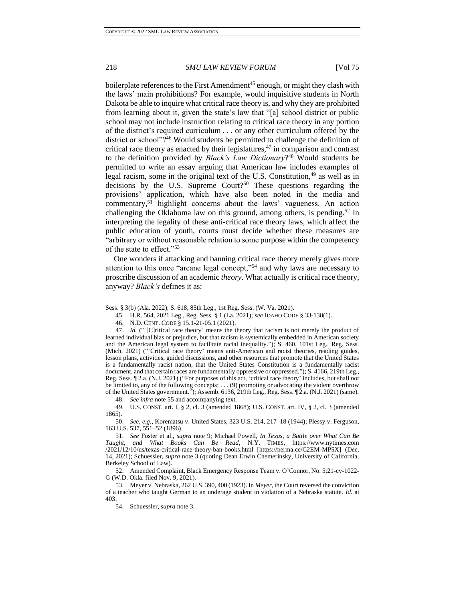boilerplate references to the First Amendment<sup>45</sup> enough, or might they clash with the laws' main prohibitions? For example, would inquisitive students in North Dakota be able to inquire what critical race theory is, and why they are prohibited from learning about it, given the state's law that "[a] school district or public school may not include instruction relating to critical race theory in any portion of the district's required curriculum . . . or any other curriculum offered by the district or school"?<sup>46</sup> Would students be permitted to challenge the definition of critical race theory as enacted by their legislatures, $47$  in comparison and contrast to the definition provided by *Black's Law Dictionary*? <sup>48</sup> Would students be permitted to write an essay arguing that American law includes examples of legal racism, some in the original text of the U.S. Constitution, $49$  as well as in decisions by the U.S. Supreme Court?<sup>50</sup> These questions regarding the provisions' application, which have also been noted in the media and commentary, $5\overline{1}$  highlight concerns about the laws' vagueness. An action challenging the Oklahoma law on this ground, among others, is pending.<sup>52</sup> In interpreting the legality of these anti-critical race theory laws, which affect the public education of youth, courts must decide whether these measures are "arbitrary or without reasonable relation to some purpose within the competency of the state to effect."<sup>53</sup>

<span id="page-7-0"></span>One wonders if attacking and banning critical race theory merely gives more attention to this once "arcane legal concept,"<sup>54</sup> and why laws are necessary to proscribe discussion of an academic *theory*. What actually is critical race theory, anyway? *Black's* defines it as:

47. *Id.* ("'[C]ritical race theory' means the theory that racism is not merely the product of learned individual bias or prejudice, but that racism is systemically embedded in American society and the American legal system to facilitate racial inequality."); S. 460, 101st Leg., Reg. Sess. (Mich. 2021) ("'Critical race theory' means anti-American and racist theories, reading guides, lesson plans, activities, guided discussions, and other resources that promote that the United States is a fundamentally racist nation, that the United States Constitution is a fundamentally racist document, and that certain races are fundamentally oppressive or oppressed."); S. 4166, 219th Leg., Reg. Sess. ¶ 2.a. (N.J. 2021) ("For purposes of this act, 'critical race theory' includes, but shall not be limited to, any of the following concepts: . . . (9) promoting or advocating the violent overthrow of the United States government."); Assemb. 6136, 219th Leg., Reg. Sess. ¶ 2.a. (N.J. 2021) (same).

48. *See infra* not[e 55](#page-8-0) and accompanying text.

49. U.S. CONST. art. I, § 2, cl. 3 (amended 1868); U.S. CONST. art. IV, § 2, cl. 3 (amended 1865).

50. *See, e.g.*, Korematsu v. United States, 323 U.S. 214, 217–18 (1944); Plessy v. Ferguson, 163 U.S. 537, 551–52 (1896).

52. Amended Complaint, Black Emergency Response Team v. O'Connor, No. 5:21-cv-1022- G (W.D. Okla. filed Nov. 9, 2021).

54. Schuessler, *supra* note [3.](#page-1-0)

Sess. § 3(b) (Ala. 2022); S. 618, 85th Leg., 1st Reg. Sess. (W. Va. 2021).

<sup>45.</sup> H.R. 564, 2021 Leg., Reg. Sess. § 1 (La. 2021); *see* IDAHO CODE § 33-138(1).

<sup>46.</sup> N.D. CENT. CODE § 15.1-21-05.1 (2021).

<sup>51.</sup> *See* Foster et al., *supra* note [9;](#page-2-0) Michael Powell, *In Texas, a Battle over What Can Be Taught, and What Books Can Be Read*, N.Y. TIMES, https://www.nytimes.com /2021/12/10/us/texas-critical-race-theory-ban-books.html [https://perma.cc/C2EM-MP5X] (Dec. 14, 2021); Schuessler, *supra* note [3](#page-1-0) (quoting Dean Erwin Chemerinsky, University of California, Berkeley School of Law).

<sup>53.</sup> Meyer v. Nebraska, 262 U.S. 390, 400 (1923). In *Meyer*, the Court reversed the conviction of a teacher who taught German to an underage student in violation of a Nebraska statute. *Id.* at 403.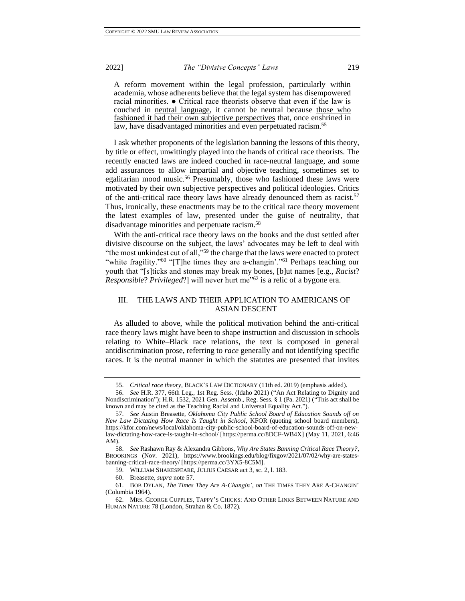A reform movement within the legal profession, particularly within academia, whose adherents believe that the legal system has disempowered racial minorities. ● Critical race theorists observe that even if the law is couched in neutral language, it cannot be neutral because those who fashioned it had their own subjective perspectives that, once enshrined in law, have disadvantaged minorities and even perpetuated racism.<sup>55</sup>

I ask whether proponents of the legislation banning the lessons of this theory, by title or effect, unwittingly played into the hands of critical race theorists. The recently enacted laws are indeed couched in race-neutral language, and some add assurances to allow impartial and objective teaching, sometimes set to egalitarian mood music.<sup>56</sup> Presumably, those who fashioned these laws were motivated by their own subjective perspectives and political ideologies. Critics of the anti-critical race theory laws have already denounced them as racist.<sup>57</sup> Thus, ironically, these enactments may be to the critical race theory movement the latest examples of law, presented under the guise of neutrality, that disadvantage minorities and perpetuate racism.<sup>58</sup>

With the anti-critical race theory laws on the books and the dust settled after divisive discourse on the subject, the laws' advocates may be left to deal with "the most unkindest cut of all,"<sup>59</sup> the charge that the laws were enacted to protect "white fragility."<sup>60</sup> "[T]he times they are a-changin'."<sup>61</sup> Perhaps teaching our youth that "[s]ticks and stones may break my bones, [b]ut names [e.g., *Racist*? *Responsible? Privileged?*] will never hurt me<sup>"62</sup> is a relic of a bygone era.

#### III. THE LAWS AND THEIR APPLICATION TO AMERICANS OF ASIAN DESCENT

As alluded to above, while the political motivation behind the anti-critical race theory laws might have been to shape instruction and discussion in schools relating to White–Black race relations, the text is composed in general antidiscrimination prose, referring to *race* generally and not identifying specific races. It is the neutral manner in which the statutes are presented that invites

<span id="page-8-1"></span><span id="page-8-0"></span>

<sup>55.</sup> *Critical race theory*, BLACK'S LAW DICTIONARY (11th ed. 2019) (emphasis added).

<sup>56.</sup> *See* H.R. 377, 66th Leg., 1st Reg. Sess. (Idaho 2021) ("An Act Relating to Dignity and Nondiscrimination"); H.R. 1532, 2021 Gen. Assemb., Reg. Sess. § 1 (Pa. 2021) ("This act shall be known and may be cited as the Teaching Racial and Universal Equality Act.").

<sup>57.</sup> *See* Austin Breasette, *Oklahoma City Public School Board of Education Sounds off on New Law Dictating How Race Is Taught in School*, KFOR (quoting school board members), https://kfor.com/news/local/oklahoma-city-public-school-board-of-education-sounds-off-on-newlaw-dictating-how-race-is-taught-in-school/ [https://perma.cc/8DCF-WB4X] (May 11, 2021, 6:46 AM).

<sup>58.</sup> *See* Rashawn Ray & Alexandra Gibbons, *Why Are States Banning Critical Race Theory?*, BROOKINGS (Nov. 2021), https://www.brookings.edu/blog/fixgov/2021/07/02/why-are-statesbanning-critical-race-theory/ [https://perma.cc/3YX5-8C5M].

<sup>59.</sup> WILLIAM SHAKESPEARE, JULIUS CAESAR act 3, sc. 2, l. 183.

<sup>60.</sup> Breasette, *supra* note [57.](#page-8-1)

<sup>61.</sup> BOB DYLAN, *The Times They Are A-Changin'*, *on* THE TIMES THEY ARE A-CHANGIN' (Columbia 1964).

<sup>62.</sup> MRS. GEORGE CUPPLES, TAPPY'S CHICKS: AND OTHER LINKS BETWEEN NATURE AND HUMAN NATURE 78 (London, Strahan & Co. 1872).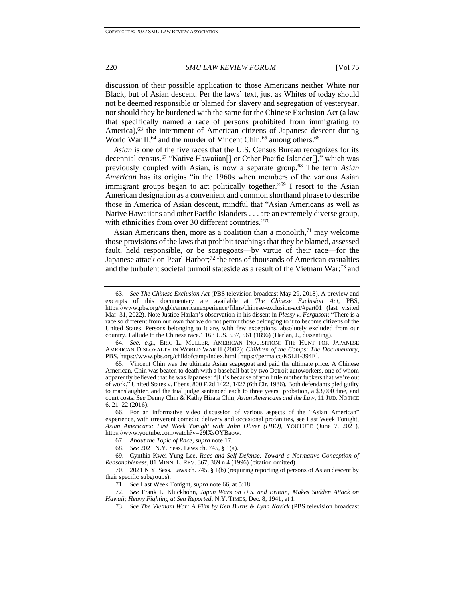discussion of their possible application to those Americans neither White nor Black, but of Asian descent. Per the laws' text, just as Whites of today should not be deemed responsible or blamed for slavery and segregation of yesteryear, nor should they be burdened with the same for the Chinese Exclusion Act (a law that specifically named a race of persons prohibited from immigrating to America),<sup>63</sup> the internment of American citizens of Japanese descent during World War II,<sup>64</sup> and the murder of Vincent Chin,<sup>65</sup> among others.<sup>66</sup>

<span id="page-9-0"></span>*Asian* is one of the five races that the U.S. Census Bureau recognizes for its decennial census.<sup>67</sup> "Native Hawaiian[] or Other Pacific Islander[]," which was previously coupled with Asian, is now a separate group.<sup>68</sup> The term *Asian American* has its origins "in the 1960s when members of the various Asian immigrant groups began to act politically together."<sup>69</sup> I resort to the Asian American designation as a convenient and common shorthand phrase to describe those in America of Asian descent, mindful that "Asian Americans as well as Native Hawaiians and other Pacific Islanders . . . are an extremely diverse group, with ethnicities from over 30 different countries."70

Asian Americans then, more as a coalition than a monolith,  $71$  may welcome those provisions of the laws that prohibit teachings that they be blamed, assessed fault, held responsible, or be scapegoats—by virtue of their race—for the Japanese attack on Pearl Harbor;<sup>72</sup> the tens of thousands of American casualties and the turbulent societal turmoil stateside as a result of the Vietnam War;<sup>73</sup> and

<sup>63.</sup> *See The Chinese Exclusion Act* (PBS television broadcast May 29, 2018). A preview and excerpts of this documentary are available at *The Chinese Exclusion Act*, PBS, https://www.pbs.org/wgbh/americanexperience/films/chinese-exclusion-act/#part01 (last visited Mar. 31, 2022). Note Justice Harlan's observation in his dissent in *Plessy v. Ferguson*: "There is a race so different from our own that we do not permit those belonging to it to become citizens of the United States. Persons belonging to it are, with few exceptions, absolutely excluded from our country. I allude to the Chinese race." 163 U.S. 537, 561 (1896) (Harlan, J., dissenting).

<sup>64.</sup> *See*, *e.g.*, ERIC L. MULLER, AMERICAN INQUISITION: THE HUNT FOR JAPANESE AMERICAN DISLOYALTY IN WORLD WAR II (2007); *Children of the Camps: The Documentary*, PBS, https://www.pbs.org/childofcamp/index.html [https://perma.cc/K5LH-394E].

<sup>65.</sup> Vincent Chin was the ultimate Asian scapegoat and paid the ultimate price. A Chinese American, Chin was beaten to death with a baseball bat by two Detroit autoworkers, one of whom apparently believed that he was Japanese: "[I]t's because of you little mother fuckers that we're out of work." United States v. Ebens, 800 F.2d 1422, 1427 (6th Cir. 1986). Both defendants pled guilty to manslaughter, and the trial judge sentenced each to three years' probation, a \$3,000 fine, and court costs. *See* Denny Chin & Kathy Hirata Chin, *Asian Americans and the Law*, 11 JUD. NOTICE 6, 21–22 (2016).

<sup>66.</sup> For an informative video discussion of various aspects of the "Asian American" experience, with irreverent comedic delivery and occasional profanities, see Last Week Tonight, *Asian Americans: Last Week Tonight with John Oliver (HBO)*, YOUTUBE (June 7, 2021), https://www.youtube.com/watch?v=29lXsOYBaow.

<sup>67.</sup> *About the Topic of Race*, *supra* note [17.](#page-3-0)

<sup>68.</sup> *See* 2021 N.Y. Sess. Laws ch. 745, § 1(a).

<sup>69.</sup> Cynthia Kwei Yung Lee, *Race and Self-Defense: Toward a Normative Conception of Reasonableness*, 81 MINN. L. REV. 367, 369 n.4 (1996) (citation omitted).

<sup>70.</sup> 2021 N.Y. Sess. Laws ch. 745, § 1(b) (requiring reporting of persons of Asian descent by their specific subgroups).

<sup>71.</sup> *See* Last Week Tonight, *supra* not[e 66,](#page-9-0) at 5:18.

<sup>72.</sup> *See* Frank L. Kluckhohn, *Japan Wars on U.S. and Britain; Makes Sudden Attack on Hawaii; Heavy Fighting at Sea Reported*, N.Y. TIMES, Dec. 8, 1941, at 1.

<sup>73.</sup> *See The Vietnam War: A Film by Ken Burns & Lynn Novick* (PBS television broadcast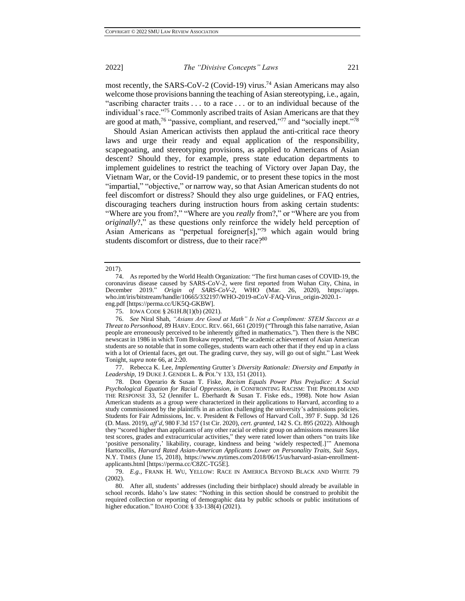most recently, the SARS-CoV-2 (Covid-19) virus.<sup>74</sup> Asian Americans may also welcome those provisions banning the teaching of Asian stereotyping, i.e., again, "ascribing character traits . . . to a race . . . or to an individual because of the individual's race."<sup>75</sup> Commonly ascribed traits of Asian Americans are that they are good at math,<sup>76</sup> "passive, compliant, and reserved,"<sup>77</sup> and "socially inept."<sup>78</sup>

Should Asian American activists then applaud the anti-critical race theory laws and urge their ready and equal application of the responsibility, scapegoating, and stereotyping provisions, as applied to Americans of Asian descent? Should they, for example, press state education departments to implement guidelines to restrict the teaching of Victory over Japan Day, the Vietnam War, or the Covid-19 pandemic, or to present these topics in the most "impartial," "objective," or narrow way, so that Asian American students do not feel discomfort or distress? Should they also urge guidelines, or FAQ entries, discouraging teachers during instruction hours from asking certain students: "Where are you from?," "Where are you *really* from?," or "Where are you from *originally*?," as these questions only reinforce the widely held perception of Asian Americans as "perpetual foreigner[s],"<sup>79</sup> which again would bring students discomfort or distress, due to their race?80

77. Rebecca K. Lee, *Implementing* Grutter*'s Diversity Rationale: Diversity and Empathy in Leadership*, 19 DUKE J. GENDER L. & POL'Y 133, 151 (2011).

78. Don Operario & Susan T. Fiske, *Racism Equals Power Plus Prejudice: A Social Psychological Equation for Racial Oppression*, *in* CONFRONTING RACISM: THE PROBLEM AND THE RESPONSE 33, 52 (Jennifer L. Eberhardt & Susan T. Fiske eds., 1998). Note how Asian American students as a group were characterized in their applications to Harvard, according to a study commissioned by the plaintiffs in an action challenging the university's admissions policies. Students for Fair Admissions, Inc. v. President & Fellows of Harvard Coll., 397 F. Supp. 3d 126 (D. Mass. 2019), *aff'd*, 980 F.3d 157 (1st Cir. 2020), *cert. granted*, 142 S. Ct. 895 (2022). Although they "scored higher than applicants of any other racial or ethnic group on admissions measures like test scores, grades and extracurricular activities," they were rated lower than others "on traits like 'positive personality,' likability, courage, kindness and being 'widely respected[.]'" Anemona Hartocollis, *Harvard Rated Asian-American Applicants Lower on Personality Traits, Suit Says*, N.Y. TIMES (June 15, 2018), https://www.nytimes.com/2018/06/15/us/harvard-asian-enrollmentapplicants.html [https://perma.cc/C8ZC-TG5E].

<sup>2017).</sup>

<sup>74.</sup> As reported by the World Health Organization: "The first human cases of COVID-19, the coronavirus disease caused by SARS-CoV-2, were first reported from Wuhan City, China, in December 2019." *Origin of SARS-CoV-2*, WHO (Mar. 26, 2020), https://apps. who.int/iris/bitstream/handle/10665/332197/WHO-2019-nCoV-FAQ-Virus\_origin-2020.1 eng.pdf [https://perma.cc/UK5Q-GKBW].

<sup>75.</sup> IOWA CODE § 261H.8(1)(b) (2021).

<sup>76.</sup> *See* Niral Shah, *"Asians Are Good at Math" Is Not a Compliment: STEM Success as a Threat to Personhood*, 89 HARV. EDUC. REV. 661, 661 (2019) ("Through this false narrative, Asian people are erroneously perceived to be inherently gifted in mathematics."). Then there is the NBC newscast in 1986 in which Tom Brokaw reported, "The academic achievement of Asian American students are so notable that in some colleges, students warn each other that if they end up in a class with a lot of Oriental faces, get out. The grading curve, they say, will go out of sight." Last Week Tonight, *supra* not[e 66,](#page-9-0) at 2:20.

<sup>79.</sup> *E.g.*, FRANK H. WU, YELLOW: RACE IN AMERICA BEYOND BLACK AND WHITE 79 (2002).

<sup>80.</sup> After all, students' addresses (including their birthplace) should already be available in school records. Idaho's law states: "Nothing in this section should be construed to prohibit the required collection or reporting of demographic data by public schools or public institutions of higher education." IDAHO CODE § 33-138(4) (2021).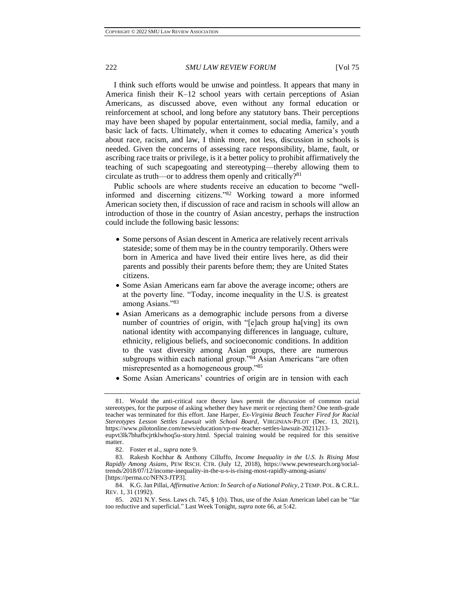I think such efforts would be unwise and pointless. It appears that many in America finish their K–12 school years with certain perceptions of Asian Americans, as discussed above, even without any formal education or reinforcement at school, and long before any statutory bans. Their perceptions may have been shaped by popular entertainment, social media, family, and a basic lack of facts. Ultimately, when it comes to educating America's youth about race, racism, and law, I think more, not less, discussion in schools is needed. Given the concerns of assessing race responsibility, blame, fault, or ascribing race traits or privilege, is it a better policy to prohibit affirmatively the teaching of such scapegoating and stereotyping—thereby allowing them to circulate as truth—or to address them openly and critically? $81$ 

Public schools are where students receive an education to become "wellinformed and discerning citizens."<sup>82</sup> Working toward a more informed American society then, if discussion of race and racism in schools will allow an introduction of those in the country of Asian ancestry, perhaps the instruction could include the following basic lessons:

- Some persons of Asian descent in America are relatively recent arrivals stateside; some of them may be in the country temporarily. Others were born in America and have lived their entire lives here, as did their parents and possibly their parents before them; they are United States citizens.
- Some Asian Americans earn far above the average income; others are at the poverty line. "Today, income inequality in the U.S. is greatest among Asians."<sup>83</sup>
- Asian Americans as a demographic include persons from a diverse number of countries of origin, with "[e]ach group ha[ving] its own national identity with accompanying differences in language, culture, ethnicity, religious beliefs, and socioeconomic conditions. In addition to the vast diversity among Asian groups, there are numerous subgroups within each national group."<sup>84</sup> Asian Americans "are often misrepresented as a homogeneous group."<sup>85</sup>
- Some Asian Americans' countries of origin are in tension with each

<sup>81.</sup> Would the anti-critical race theory laws permit the *discussion* of common racial stereotypes, for the purpose of asking whether they have merit or rejecting them? One tenth-grade teacher was terminated for this effort. Jane Harper, *Ex-Virginia Beach Teacher Fired for Racial Stereotypes Lesson Settles Lawsuit with School Board*, VIRGINIAN-PILOT (Dec. 13, 2021), https://www.pilotonline.com/news/education/vp-nw-teacher-settles-lawsuit-20211213 eupvt3lk7bhafbcjrtklwhoq5u-story.html. Special training would be required for this sensitive matter.

<sup>82.</sup> Foster et al., *supra* not[e 9.](#page-2-0)

<sup>83.</sup> Rakesh Kochhar & Anthony Cilluffo, *Income Inequality in the U.S. Is Rising Most Rapidly Among Asians*, PEW RSCH. CTR. (July 12, 2018), https://www.pewresearch.org/socialtrends/2018/07/12/income-inequality-in-the-u-s-is-rising-most-rapidly-among-asians/ [https://perma.cc/NFN3-JTP3].

<sup>84.</sup> K.G. Jan Pillai, *Affirmative Action: In Search of a National Policy*, 2 TEMP. POL. & C.R.L. REV. 1, 31 (1992).

<sup>85.</sup> 2021 N.Y. Sess. Laws ch. 745, § 1(b). Thus, use of the Asian American label can be "far too reductive and superficial." Last Week Tonight, *supra* not[e 66,](#page-9-0) at 5:42.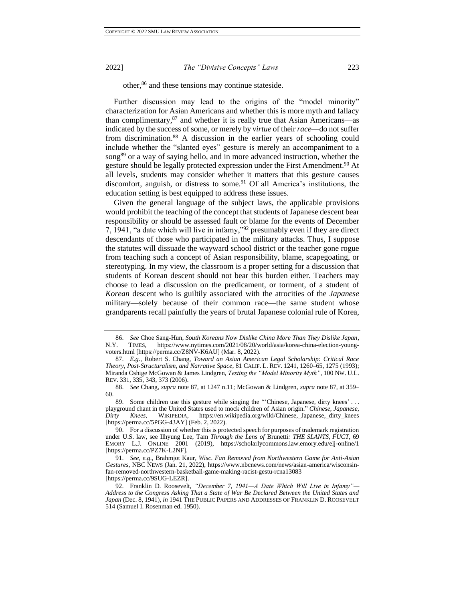<span id="page-12-0"></span>other,<sup>86</sup> and these tensions may continue stateside.

Further discussion may lead to the origins of the "model minority" characterization for Asian Americans and whether this is more myth and fallacy than complimentary,  $87$  and whether it is really true that Asian Americans—as indicated by the success of some, or merely by *virtue* of their *race*—do not suffer from discrimination. <sup>88</sup> A discussion in the earlier years of schooling could include whether the "slanted eyes" gesture is merely an accompaniment to a song<sup>89</sup> or a way of saying hello, and in more advanced instruction, whether the gesture should be legally protected expression under the First Amendment.<sup>90</sup> At all levels, students may consider whether it matters that this gesture causes discomfort, anguish, or distress to some.<sup>91</sup> Of all America's institutions, the education setting is best equipped to address these issues.

Given the general language of the subject laws, the applicable provisions would prohibit the teaching of the concept that students of Japanese descent bear responsibility or should be assessed fault or blame for the events of December 7, 1941, "a date which will live in infamy,"<sup>92</sup> presumably even if they are direct descendants of those who participated in the military attacks. Thus, I suppose the statutes will dissuade the wayward school district or the teacher gone rogue from teaching such a concept of Asian responsibility, blame, scapegoating, or stereotyping. In my view, the classroom is a proper setting for a discussion that students of Korean descent should not bear this burden either. Teachers may choose to lead a discussion on the predicament, or torment, of a student of *Korean* descent who is guiltily associated with the atrocities of the *Japanese* military—solely because of their common race—the same student whose grandparents recall painfully the years of brutal Japanese colonial rule of Korea,

<sup>86.</sup> *See* Choe Sang-Hun, *South Koreans Now Dislike China More Than They Dislike Japan*, N.Y. TIMES, https://www.nytimes.com/2021/08/20/world/asia/korea-china-election-youngvoters.html [https://perma.cc/Z8NV-K6AU] (Mar. 8, 2022).

<sup>87.</sup> *E.g.*, Robert S. Chang, *Toward an Asian American Legal Scholarship: Critical Race Theory, Post-Structuralism, and Narrative Space*, 81 CALIF. L. REV. 1241, 1260–65, 1275 (1993); Miranda Oshige McGowan & James Lindgren, *Testing the "Model Minority Myth"*, 100 NW. U.L. REV. 331, 335, 343, 373 (2006).

<sup>88.</sup> *See* Chang, *supra* note [87,](#page-12-0) at 1247 n.11; McGowan & Lindgren, *supra* note [87,](#page-12-0) at 359– 60.

<sup>89.</sup> Some children use this gesture while singing the "'Chinese, Japanese, dirty knees' ... playground chant in the United States used to mock children of Asian origin." *Chinese, Japanese, Dirty Knees*, WIKIPEDIA, https://en.wikipedia.org/wiki/Chinese,\_Japanese,\_dirty\_knees [https://perma.cc/5PGG-43AY] (Feb. 2, 2022).

<sup>90.</sup> For a discussion of whether this is protected speech for purposes of trademark registration under U.S. law, see Ilhyung Lee, Tam *Through the Lens of* Brunetti*: THE SLANTS, FUCT*, 69 EMORY L.J. ONLINE 2001 (2019), https://scholarlycommons.law.emory.edu/elj-online/1 [https://perma.cc/PZ7K-L2NF].

<sup>91.</sup> *See, e.g.*, Brahmjot Kaur, *Wisc. Fan Removed from Northwestern Game for Anti-Asian Gestures*, NBC NEWS (Jan. 21, 2022), https://www.nbcnews.com/news/asian-america/wisconsinfan-removed-northwestern-basketball-game-making-racist-gestu-rcna13083 [https://perma.cc/9SUG-LEZR].

<sup>92.</sup> Franklin D. Roosevelt*, "December 7, 1941—A Date Which Will Live in Infamy"—*

*Address to the Congress Asking That a State of War Be Declared Between the United States and Japan* (Dec. 8, 1941), *in* 1941 THE PUBLIC PAPERS AND ADDRESSES OF FRANKLIN D. ROOSEVELT 514 (Samuel I. Rosenman ed. 1950).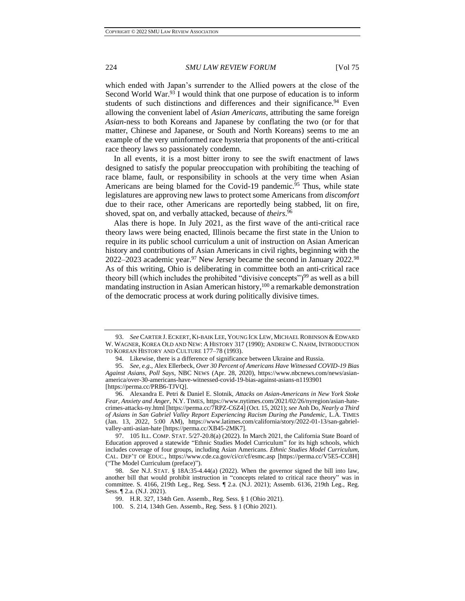which ended with Japan's surrender to the Allied powers at the close of the Second World War.<sup>93</sup> I would think that one purpose of education is to inform students of such distinctions and differences and their significance.<sup>94</sup> Even allowing the convenient label of *Asian Americans*, attributing the same foreign *Asian*-ness to both Koreans and Japanese by conflating the two (or for that matter, Chinese and Japanese, or South and North Koreans) seems to me an example of the very uninformed race hysteria that proponents of the anti-critical race theory laws so passionately condemn.

In all events, it is a most bitter irony to see the swift enactment of laws designed to satisfy the popular preoccupation with prohibiting the teaching of race blame, fault, or responsibility in schools at the very time when Asian Americans are being blamed for the Covid-19 pandemic.<sup>95</sup> Thus, while state legislatures are approving new laws to protect some Americans from *discomfort* due to their race, other Americans are reportedly being stabbed, lit on fire, shoved, spat on, and verbally attacked, because of *theirs*. 96

Alas there is hope. In July 2021, as the first wave of the anti-critical race theory laws were being enacted, Illinois became the first state in the Union to require in its public school curriculum a unit of instruction on Asian American history and contributions of Asian Americans in civil rights, beginning with the 2022–2023 academic year.<sup>97</sup> New Jersey became the second in January 2022.<sup>98</sup> As of this writing, Ohio is deliberating in committee both an anti-critical race theory bill (which includes the prohibited "divisive concepts")<sup>99</sup> as well as a bill mandating instruction in Asian American history,<sup>100</sup> a remarkable demonstration of the democratic process at work during politically divisive times.

<sup>93.</sup> *See* CARTER J. ECKERT, KI-BAIK LEE, YOUNG ICK LEW, MICHAEL ROBINSON & EDWARD W. WAGNER, KOREA OLD AND NEW: A HISTORY 317 (1990); ANDREW C. NAHM, INTRODUCTION TO KOREAN HISTORY AND CULTURE 177–78 (1993).

<sup>94.</sup> Likewise, there is a difference of significance between Ukraine and Russia.

<sup>95.</sup> *See, e.g.*, Alex Ellerbeck, *Over 30 Percent of Americans Have Witnessed COVID-19 Bias Against Asians, Poll Says*, NBC NEWS (Apr. 28, 2020), https://www.nbcnews.com/news/asianamerica/over-30-americans-have-witnessed-covid-19-bias-against-asians-n1193901 [https://perma.cc/PRB6-TJVQ].

<sup>96.</sup> Alexandra E. Petri & Daniel E. Slotnik, *Attacks on Asian-Americans in New York Stoke Fear, Anxiety and Anger*, N.Y. TIMES, https://www.nytimes.com/2021/02/26/nyregion/asian-hatecrimes-attacks-ny.html [https://perma.cc/7RPZ-C6Z4] (Oct. 15, 2021); *see* Anh Do, *Nearly a Third of Asians in San Gabriel Valley Report Experiencing Racism During the Pandemic,* L.A. TIMES (Jan. 13, 2022, 5:00 AM), https://www.latimes.com/california/story/2022-01-13/san-gabrielvalley-anti-asian-hate [https://perma.cc/XB45-2MK7].

<sup>97.</sup> 105 ILL. COMP. STAT. 5/27-20.8(a) (2022). In March 2021, the California State Board of Education approved a statewide "Ethnic Studies Model Curriculum" for its high schools, which includes coverage of four groups, including Asian Americans. *Ethnic Studies Model Curriculum*, CAL. DEP'T OF EDUC., https://www.cde.ca.gov/ci/cr/cf/esmc.asp [https://perma.cc/V5E5-CC8H] ("The Model Curriculum (preface)").

<sup>98.</sup> *See* N.J. STAT. § 18A:35-4.44(a) (2022). When the governor signed the bill into law, another bill that would prohibit instruction in "concepts related to critical race theory" was in committee. S. 4166, 219th Leg., Reg. Sess. ¶ 2.a. (N.J. 2021); Assemb. 6136, 219th Leg., Reg. Sess. ¶ 2.a. (N.J. 2021).

<sup>99.</sup> H.R. 327, 134th Gen. Assemb., Reg. Sess. § 1 (Ohio 2021).

<sup>100.</sup> S. 214, 134th Gen. Assemb., Reg. Sess. § 1 (Ohio 2021).